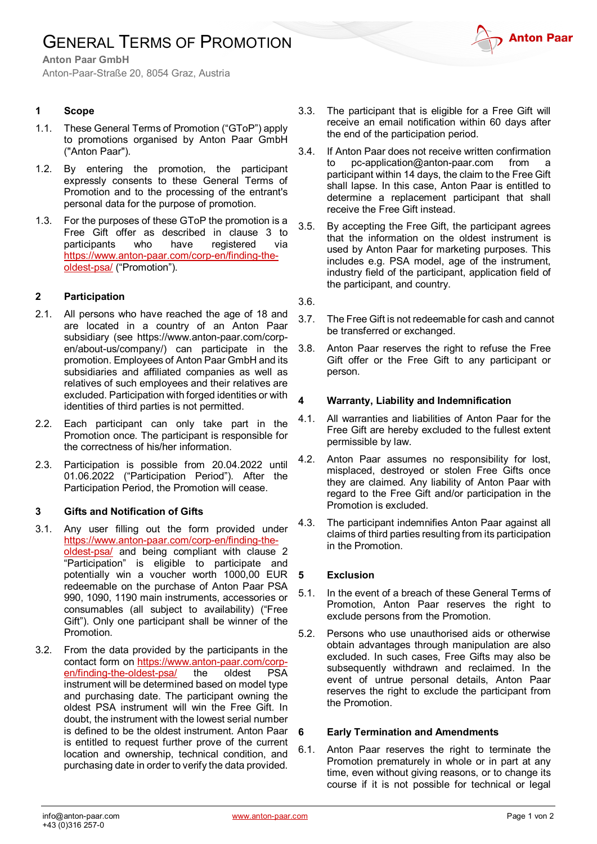# GENERAL TERMS OF PROMOTION



**Anton Paar GmbH**

Anton-Paar-Straße 20, 8054 Graz, Austria

### **1 Scope**

- 1.1. These General Terms of Promotion ("GToP") apply to promotions organised by Anton Paar GmbH ("Anton Paar").
- 1.2. By entering the promotion, the participant expressly consents to these General Terms of Promotion and to the processing of the entrant's personal data for the purpose of promotion.
- 1.3. For the purposes of these GToP the promotion is a Free Gift offer as described in clause 3 to participants who have registered via [https://www.anton-paar.com/corp-en/finding-the](https://www.anton-paar.com/corp-en/finding-the-oldest-psa/)[oldest-psa/](https://www.anton-paar.com/corp-en/finding-the-oldest-psa/) ("Promotion").

#### **2 Participation**

- 2.1. All persons who have reached the age of 18 and are located in a country of an Anton Paar subsidiary (see https://www.anton-paar.com/corpen/about-us/company/) can participate in the promotion. Employees of Anton Paar GmbH and its subsidiaries and affiliated companies as well as relatives of such employees and their relatives are excluded. Participation with forged identities or with identities of third parties is not permitted.
- 2.2. Each participant can only take part in the Promotion once. The participant is responsible for the correctness of his/her information.
- 2.3. Participation is possible from 20.04.2022 until 01.06.2022 ("Participation Period"). After the Participation Period, the Promotion will cease.

#### **3 Gifts and Notification of Gifts**

- 3.1. Any user filling out the form provided under [https://www.anton-paar.com/corp-en/finding-the](https://www.anton-paar.com/corp-en/finding-the-oldest-psa/)[oldest-psa/](https://www.anton-paar.com/corp-en/finding-the-oldest-psa/) and being compliant with clause 2 "Participation" is eligible to participate and potentially win a voucher worth 1000,00 EUR redeemable on the purchase of Anton Paar PSA 990, 1090, 1190 main instruments, accessories or consumables (all subject to availability) ("Free Gift"). Only one participant shall be winner of the Promotion.
- 3.2. From the data provided by the participants in the contact form on https://www.anton-paar.com/corp-<br>en/finding-the-oldest-psa/ the oldest PSA  $en/finding-the-oldest-psa/$  the instrument will be determined based on model type and purchasing date. The participant owning the oldest PSA instrument will win the Free Gift. In doubt, the instrument with the lowest serial number is defined to be the oldest instrument. Anton Paar is entitled to request further prove of the current location and ownership, technical condition, and purchasing date in order to verify the data provided.
- 3.3. The participant that is eligible for a Free Gift will receive an email notification within 60 days after the end of the participation period.
- 3.4. If Anton Paar does not receive written confirmation to pc-application@anton-paar.com from a participant within 14 days, the claim to the Free Gift shall lapse. In this case, Anton Paar is entitled to determine a replacement participant that shall receive the Free Gift instead.
- 3.5. By accepting the Free Gift, the participant agrees that the information on the oldest instrument is used by Anton Paar for marketing purposes. This includes e.g. PSA model, age of the instrument, industry field of the participant, application field of the participant, and country.
- 3.6.
- 3.7. The Free Gift is not redeemable for cash and cannot be transferred or exchanged.
- 3.8. Anton Paar reserves the right to refuse the Free Gift offer or the Free Gift to any participant or person.

#### **4 Warranty, Liability and Indemnification**

- 4.1. All warranties and liabilities of Anton Paar for the Free Gift are hereby excluded to the fullest extent permissible by law.
- 4.2. Anton Paar assumes no responsibility for lost, misplaced, destroyed or stolen Free Gifts once they are claimed. Any liability of Anton Paar with regard to the Free Gift and/or participation in the Promotion is excluded.
- 4.3. The participant indemnifies Anton Paar against all claims of third parties resulting from its participation in the Promotion.

#### **5 Exclusion**

- 5.1. In the event of a breach of these General Terms of Promotion, Anton Paar reserves the right to exclude persons from the Promotion.
- 5.2. Persons who use unauthorised aids or otherwise obtain advantages through manipulation are also excluded. In such cases, Free Gifts may also be subsequently withdrawn and reclaimed. In the event of untrue personal details, Anton Paar reserves the right to exclude the participant from the Promotion.

#### **6 Early Termination and Amendments**

6.1. Anton Paar reserves the right to terminate the Promotion prematurely in whole or in part at any time, even without giving reasons, or to change its course if it is not possible for technical or legal